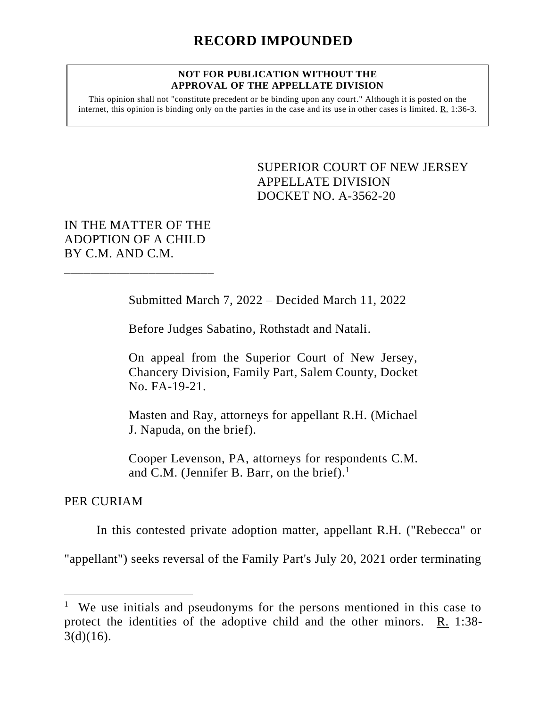#### **NOT FOR PUBLICATION WITHOUT THE APPROVAL OF THE APPELLATE DIVISION**

This opinion shall not "constitute precedent or be binding upon any court." Although it is posted on the internet, this opinion is binding only on the parties in the case and its use in other cases is limited. R. 1:36-3.

> SUPERIOR COURT OF NEW JERSEY APPELLATE DIVISION DOCKET NO. A-3562-20

# IN THE MATTER OF THE ADOPTION OF A CHILD BY C.M. AND C.M.

\_\_\_\_\_\_\_\_\_\_\_\_\_\_\_\_\_\_\_\_\_\_\_

Submitted March 7, 2022 – Decided March 11, 2022

Before Judges Sabatino, Rothstadt and Natali.

On appeal from the Superior Court of New Jersey, Chancery Division, Family Part, Salem County, Docket No. FA-19-21.

Masten and Ray, attorneys for appellant R.H. (Michael J. Napuda, on the brief).

Cooper Levenson, PA, attorneys for respondents C.M. and C.M. (Jennifer B. Barr, on the brief). $<sup>1</sup>$ </sup>

## PER CURIAM

In this contested private adoption matter, appellant R.H. ("Rebecca" or

"appellant") seeks reversal of the Family Part's July 20, 2021 order terminating

<sup>&</sup>lt;sup>1</sup> We use initials and pseudonyms for the persons mentioned in this case to protect the identities of the adoptive child and the other minors.  $R_1$  1:38- $3(d)(16)$ .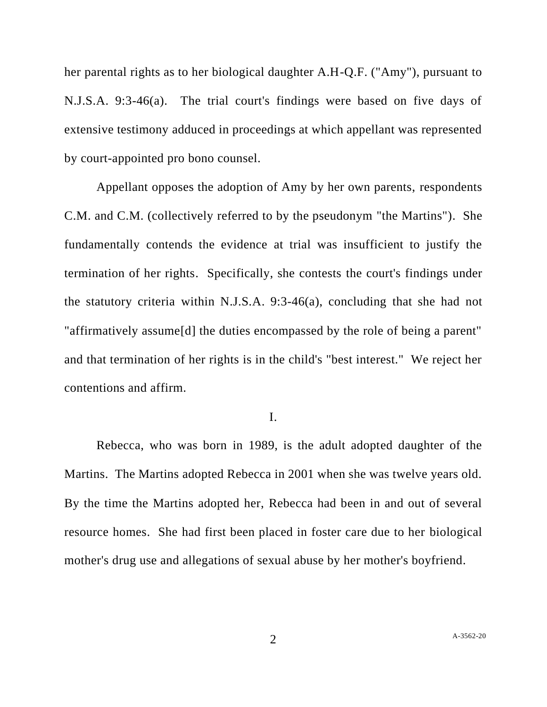her parental rights as to her biological daughter A.H-Q.F. ("Amy"), pursuant to N.J.S.A. 9:3-46(a). The trial court's findings were based on five days of extensive testimony adduced in proceedings at which appellant was represented by court-appointed pro bono counsel.

Appellant opposes the adoption of Amy by her own parents, respondents C.M. and C.M. (collectively referred to by the pseudonym "the Martins"). She fundamentally contends the evidence at trial was insufficient to justify the termination of her rights. Specifically, she contests the court's findings under the statutory criteria within N.J.S.A. 9:3-46(a), concluding that she had not "affirmatively assume[d] the duties encompassed by the role of being a parent" and that termination of her rights is in the child's "best interest." We reject her contentions and affirm.

### I.

Rebecca, who was born in 1989, is the adult adopted daughter of the Martins. The Martins adopted Rebecca in 2001 when she was twelve years old. By the time the Martins adopted her, Rebecca had been in and out of several resource homes. She had first been placed in foster care due to her biological mother's drug use and allegations of sexual abuse by her mother's boyfriend.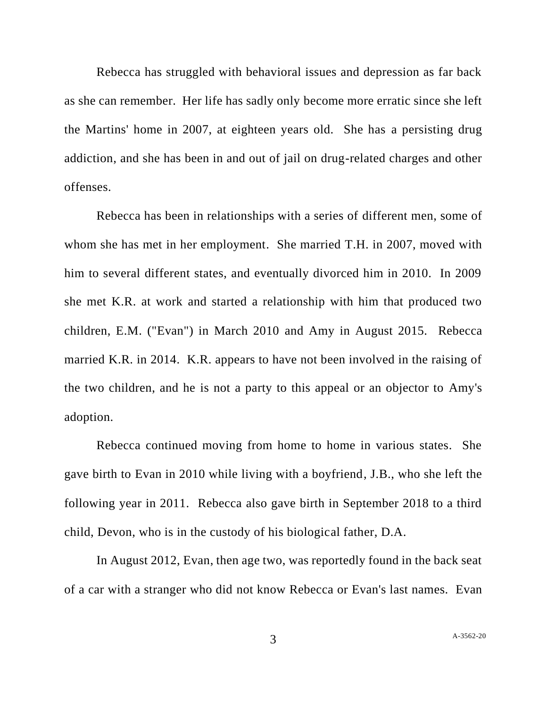Rebecca has struggled with behavioral issues and depression as far back as she can remember. Her life has sadly only become more erratic since she left the Martins' home in 2007, at eighteen years old. She has a persisting drug addiction, and she has been in and out of jail on drug-related charges and other offenses.

Rebecca has been in relationships with a series of different men, some of whom she has met in her employment. She married T.H. in 2007, moved with him to several different states, and eventually divorced him in 2010. In 2009 she met K.R. at work and started a relationship with him that produced two children, E.M. ("Evan") in March 2010 and Amy in August 2015. Rebecca married K.R. in 2014. K.R. appears to have not been involved in the raising of the two children, and he is not a party to this appeal or an objector to Amy's adoption.

Rebecca continued moving from home to home in various states. She gave birth to Evan in 2010 while living with a boyfriend, J.B., who she left the following year in 2011. Rebecca also gave birth in September 2018 to a third child, Devon, who is in the custody of his biological father, D.A.

In August 2012, Evan, then age two, was reportedly found in the back seat of a car with a stranger who did not know Rebecca or Evan's last names. Evan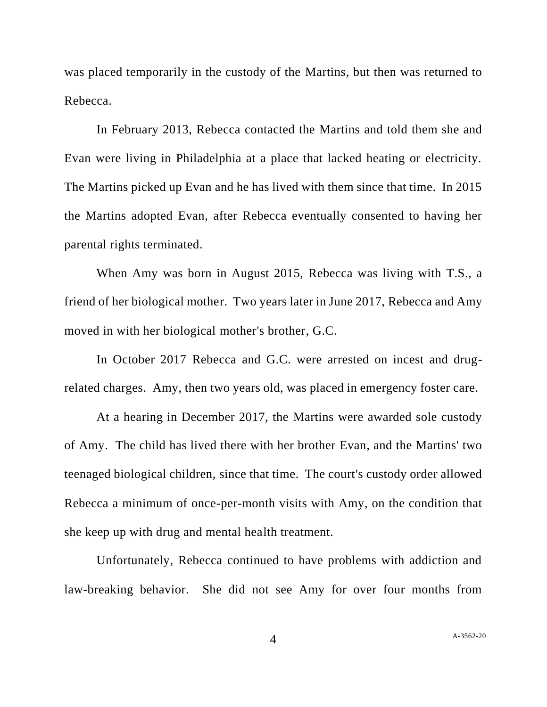was placed temporarily in the custody of the Martins, but then was returned to Rebecca.

In February 2013, Rebecca contacted the Martins and told them she and Evan were living in Philadelphia at a place that lacked heating or electricity. The Martins picked up Evan and he has lived with them since that time. In 2015 the Martins adopted Evan, after Rebecca eventually consented to having her parental rights terminated.

When Amy was born in August 2015, Rebecca was living with T.S., a friend of her biological mother. Two years later in June 2017, Rebecca and Amy moved in with her biological mother's brother, G.C.

In October 2017 Rebecca and G.C. were arrested on incest and drugrelated charges. Amy, then two years old, was placed in emergency foster care.

At a hearing in December 2017, the Martins were awarded sole custody of Amy. The child has lived there with her brother Evan, and the Martins' two teenaged biological children, since that time. The court's custody order allowed Rebecca a minimum of once-per-month visits with Amy, on the condition that she keep up with drug and mental health treatment.

Unfortunately, Rebecca continued to have problems with addiction and law-breaking behavior. She did not see Amy for over four months from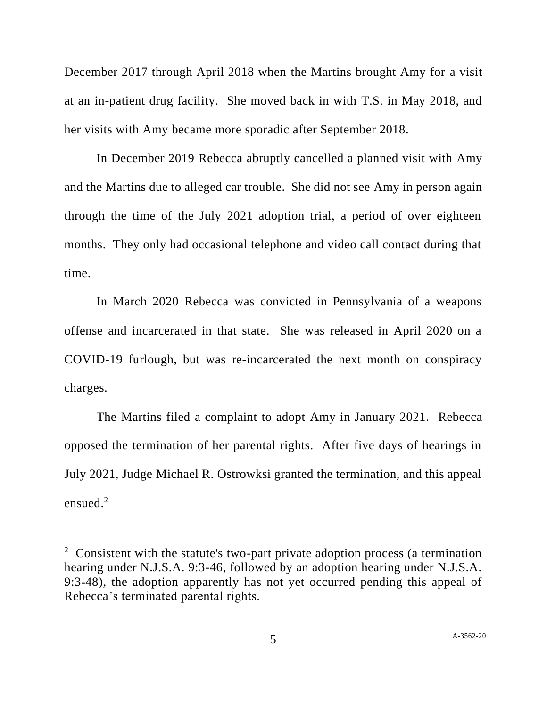December 2017 through April 2018 when the Martins brought Amy for a visit at an in-patient drug facility. She moved back in with T.S. in May 2018, and her visits with Amy became more sporadic after September 2018.

In December 2019 Rebecca abruptly cancelled a planned visit with Amy and the Martins due to alleged car trouble. She did not see Amy in person again through the time of the July 2021 adoption trial, a period of over eighteen months. They only had occasional telephone and video call contact during that time.

In March 2020 Rebecca was convicted in Pennsylvania of a weapons offense and incarcerated in that state. She was released in April 2020 on a COVID-19 furlough, but was re-incarcerated the next month on conspiracy charges.

The Martins filed a complaint to adopt Amy in January 2021. Rebecca opposed the termination of her parental rights. After five days of hearings in July 2021, Judge Michael R. Ostrowksi granted the termination, and this appeal ensued. $2$ 

<sup>&</sup>lt;sup>2</sup> Consistent with the statute's two-part private adoption process (a termination hearing under N.J.S.A. 9:3-46, followed by an adoption hearing under N.J.S.A. 9:3-48), the adoption apparently has not yet occurred pending this appeal of Rebecca's terminated parental rights.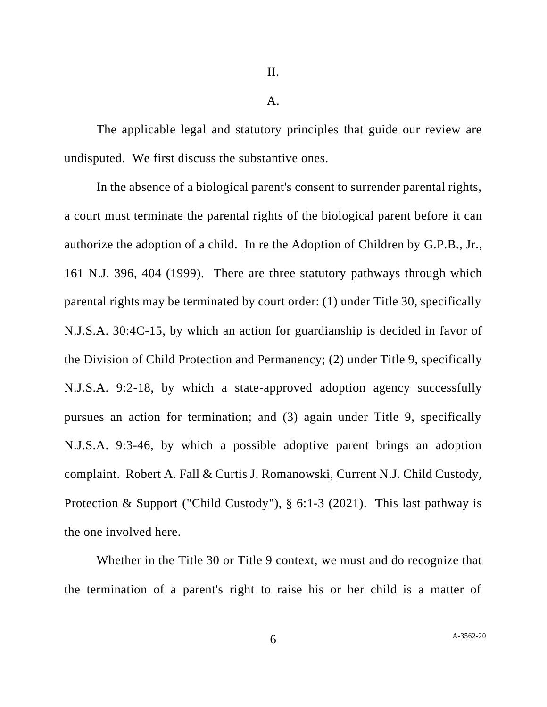II.

A.

The applicable legal and statutory principles that guide our review are undisputed. We first discuss the substantive ones.

In the absence of a biological parent's consent to surrender parental rights, a court must terminate the parental rights of the biological parent before it can authorize the adoption of a child. In re the Adoption of Children by G.P.B., Jr., 161 N.J. 396, 404 (1999). There are three statutory pathways through which parental rights may be terminated by court order: (1) under Title 30, specifically N.J.S.A. 30:4C-15, by which an action for guardianship is decided in favor of the Division of Child Protection and Permanency; (2) under Title 9, specifically N.J.S.A. 9:2-18, by which a state-approved adoption agency successfully pursues an action for termination; and (3) again under Title 9, specifically N.J.S.A. 9:3-46, by which a possible adoptive parent brings an adoption complaint. Robert A. Fall & Curtis J. Romanowski, Current N.J. Child Custody, Protection & Support ("Child Custody"), § 6:1-3 (2021). This last pathway is the one involved here.

Whether in the Title 30 or Title 9 context, we must and do recognize that the termination of a parent's right to raise his or her child is a matter of

6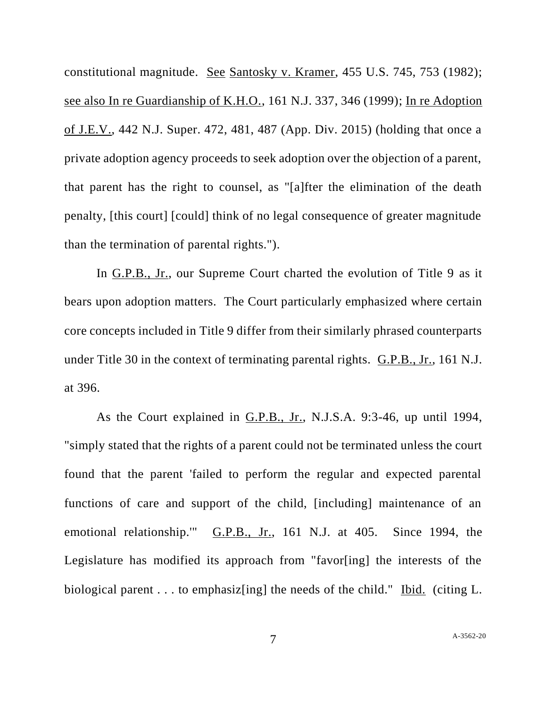constitutional magnitude. See Santosky v. Kramer, 455 U.S. 745, 753 (1982); see also In re Guardianship of K.H.O., 161 N.J. 337, 346 (1999); In re Adoption of J.E.V., 442 N.J. Super. 472, 481, 487 (App. Div. 2015) (holding that once a private adoption agency proceeds to seek adoption over the objection of a parent, that parent has the right to counsel, as "[a]fter the elimination of the death penalty, [this court] [could] think of no legal consequence of greater magnitude than the termination of parental rights.").

In G.P.B., Jr., our Supreme Court charted the evolution of Title 9 as it bears upon adoption matters. The Court particularly emphasized where certain core concepts included in Title 9 differ from their similarly phrased counterparts under Title 30 in the context of terminating parental rights. G.P.B., Jr., 161 N.J. at 396.

As the Court explained in G.P.B., Jr., N.J.S.A. 9:3-46, up until 1994, "simply stated that the rights of a parent could not be terminated unless the court found that the parent 'failed to perform the regular and expected parental functions of care and support of the child, [including] maintenance of an emotional relationship.'" G.P.B., Jr., 161 N.J. at 405. Since 1994, the Legislature has modified its approach from "favor[ing] the interests of the biological parent . . . to emphasiz[ing] the needs of the child." Ibid. (citing L.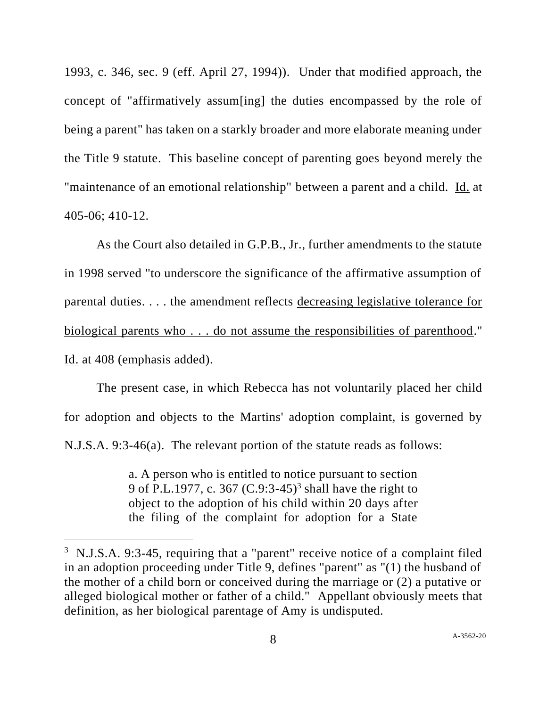1993, c. 346, sec. 9 (eff. April 27, 1994)). Under that modified approach, the concept of "affirmatively assum[ing] the duties encompassed by the role of being a parent" has taken on a starkly broader and more elaborate meaning under the Title 9 statute. This baseline concept of parenting goes beyond merely the "maintenance of an emotional relationship" between a parent and a child. Id. at 405-06; 410-12.

As the Court also detailed in G.P.B., Jr., further amendments to the statute in 1998 served "to underscore the significance of the affirmative assumption of parental duties. . . . the amendment reflects decreasing legislative tolerance for biological parents who . . . do not assume the responsibilities of parenthood." Id. at 408 (emphasis added).

The present case, in which Rebecca has not voluntarily placed her child for adoption and objects to the Martins' adoption complaint, is governed by N.J.S.A. 9:3-46(a). The relevant portion of the statute reads as follows:

> a. A person who is entitled to notice pursuant to section 9 of P.L.1977, c. 367 (C.9:3-45)<sup>3</sup> shall have the right to object to the adoption of his child within 20 days after the filing of the complaint for adoption for a State

<sup>&</sup>lt;sup>3</sup> N.J.S.A. 9:3-45, requiring that a "parent" receive notice of a complaint filed in an adoption proceeding under Title 9, defines "parent" as "(1) the husband of the mother of a child born or conceived during the marriage or (2) a putative or alleged biological mother or father of a child." Appellant obviously meets that definition, as her biological parentage of Amy is undisputed.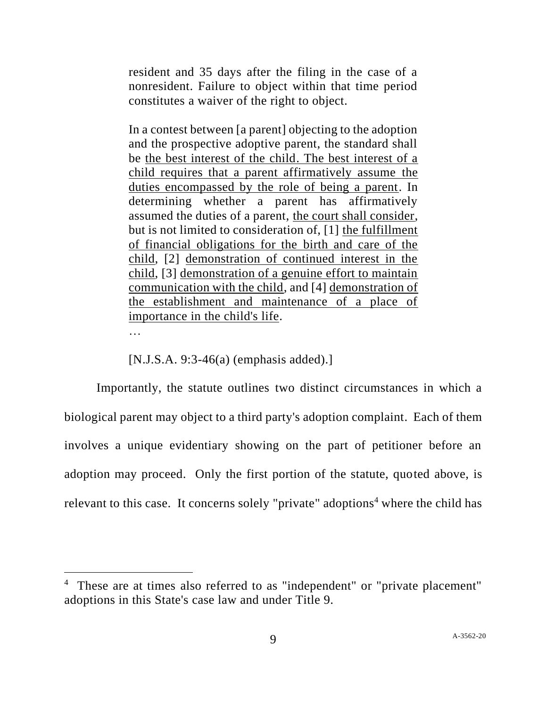resident and 35 days after the filing in the case of a nonresident. Failure to object within that time period constitutes a waiver of the right to object.

In a contest between [a parent] objecting to the adoption and the prospective adoptive parent, the standard shall be the best interest of the child. The best interest of a child requires that a parent affirmatively assume the duties encompassed by the role of being a parent. In determining whether a parent has affirmatively assumed the duties of a parent, the court shall consider, but is not limited to consideration of, [1] the fulfillment of financial obligations for the birth and care of the child, [2] demonstration of continued interest in the child, [3] demonstration of a genuine effort to maintain communication with the child, and [4] demonstration of the establishment and maintenance of a place of importance in the child's life.

…

[N.J.S.A. 9:3-46(a) (emphasis added).]

Importantly, the statute outlines two distinct circumstances in which a biological parent may object to a third party's adoption complaint. Each of them involves a unique evidentiary showing on the part of petitioner before an adoption may proceed. Only the first portion of the statute, quoted above, is relevant to this case. It concerns solely "private" adoptions<sup>4</sup> where the child has

<sup>4</sup> These are at times also referred to as "independent" or "private placement" adoptions in this State's case law and under Title 9.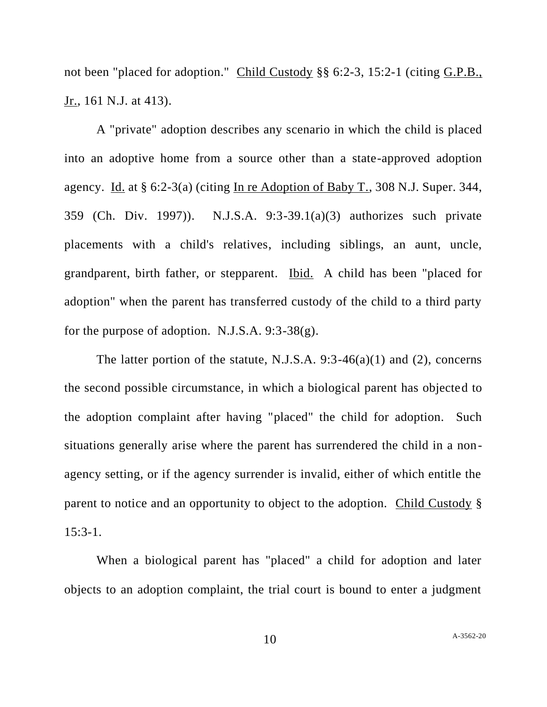not been "placed for adoption." Child Custody §§ 6:2-3, 15:2-1 (citing G.P.B., Jr., 161 N.J. at 413).

A "private" adoption describes any scenario in which the child is placed into an adoptive home from a source other than a state-approved adoption agency. Id. at § 6:2-3(a) (citing In re Adoption of Baby T., 308 N.J. Super. 344, 359 (Ch. Div. 1997)). N.J.S.A. 9:3-39.1(a)(3) authorizes such private placements with a child's relatives, including siblings, an aunt, uncle, grandparent, birth father, or stepparent. Ibid. A child has been "placed for adoption" when the parent has transferred custody of the child to a third party for the purpose of adoption. N.J.S.A. 9:3-38(g).

The latter portion of the statute, N.J.S.A. 9:3-46(a)(1) and (2), concerns the second possible circumstance, in which a biological parent has objected to the adoption complaint after having "placed" the child for adoption. Such situations generally arise where the parent has surrendered the child in a nonagency setting, or if the agency surrender is invalid, either of which entitle the parent to notice and an opportunity to object to the adoption. Child Custody § 15:3-1.

When a biological parent has "placed" a child for adoption and later objects to an adoption complaint, the trial court is bound to enter a judgment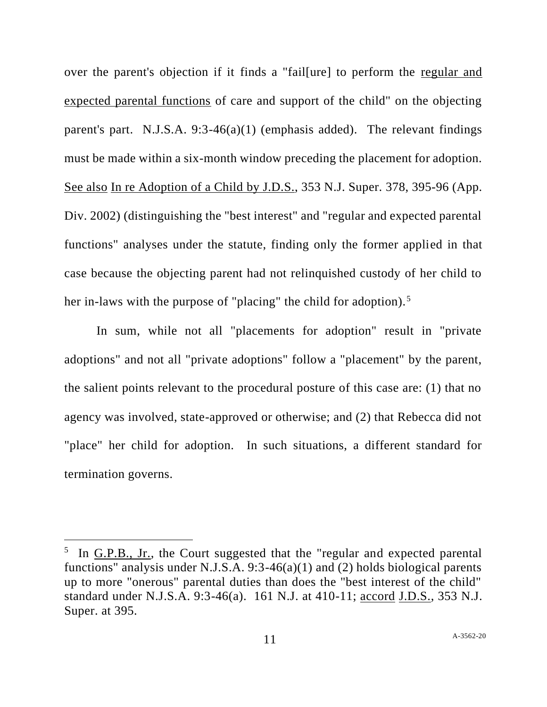over the parent's objection if it finds a "fail[ure] to perform the regular and expected parental functions of care and support of the child" on the objecting parent's part. N.J.S.A.  $9:3-46(a)(1)$  (emphasis added). The relevant findings must be made within a six-month window preceding the placement for adoption. See also In re Adoption of a Child by J.D.S., 353 N.J. Super. 378, 395-96 (App. Div. 2002) (distinguishing the "best interest" and "regular and expected parental functions" analyses under the statute, finding only the former applied in that case because the objecting parent had not relinquished custody of her child to her in-laws with the purpose of "placing" the child for adoption).<sup>5</sup>

In sum, while not all "placements for adoption" result in "private adoptions" and not all "private adoptions" follow a "placement" by the parent, the salient points relevant to the procedural posture of this case are: (1) that no agency was involved, state-approved or otherwise; and (2) that Rebecca did not "place" her child for adoption. In such situations, a different standard for termination governs.

 $<sup>5</sup>$  In  $G.P.B., Jr.,$  the Court suggested that the "regular and expected parental</sup> functions" analysis under N.J.S.A. 9:3-46(a)(1) and (2) holds biological parents up to more "onerous" parental duties than does the "best interest of the child" standard under N.J.S.A. 9:3-46(a). 161 N.J. at 410-11; accord J.D.S., 353 N.J. Super. at 395.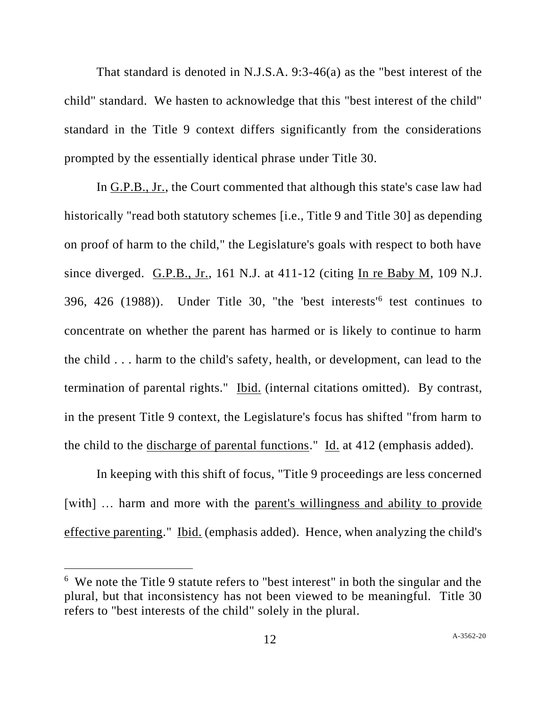That standard is denoted in N.J.S.A. 9:3-46(a) as the "best interest of the child" standard. We hasten to acknowledge that this "best interest of the child" standard in the Title 9 context differs significantly from the considerations prompted by the essentially identical phrase under Title 30.

In G.P.B., Jr., the Court commented that although this state's case law had historically "read both statutory schemes [i.e., Title 9 and Title 30] as depending on proof of harm to the child," the Legislature's goals with respect to both have since diverged. G.P.B., Jr., 161 N.J. at 411-12 (citing In re Baby M, 109 N.J. 396, 426 (1988)). Under Title 30, "the 'best interests<sup>'6</sup> test continues to concentrate on whether the parent has harmed or is likely to continue to harm the child . . . harm to the child's safety, health, or development, can lead to the termination of parental rights." Ibid. (internal citations omitted). By contrast, in the present Title 9 context, the Legislature's focus has shifted "from harm to the child to the <u>discharge of parental functions</u>." Id. at 412 (emphasis added).

In keeping with this shift of focus, "Title 9 proceedings are less concerned [with] ... harm and more with the parent's willingness and ability to provide effective parenting." Ibid. (emphasis added). Hence, when analyzing the child's

<sup>6</sup> We note the Title 9 statute refers to "best interest" in both the singular and the plural, but that inconsistency has not been viewed to be meaningful. Title 30 refers to "best interests of the child" solely in the plural.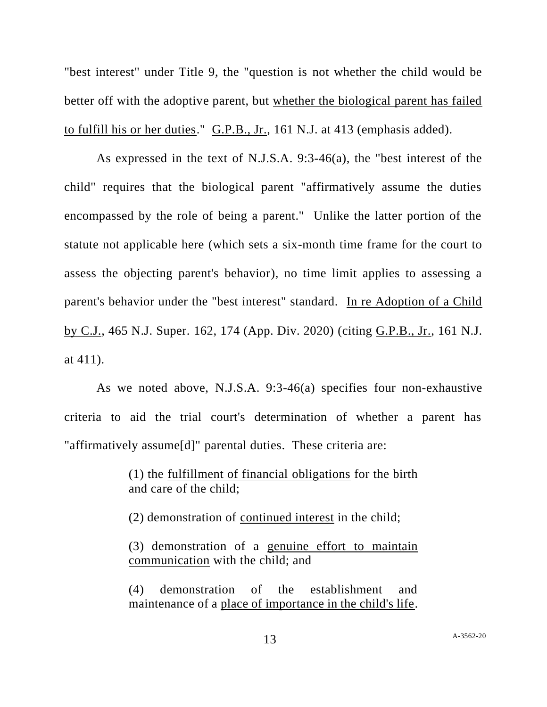"best interest" under Title 9, the "question is not whether the child would be better off with the adoptive parent, but whether the biological parent has failed to fulfill his or her duties." G.P.B., Jr., 161 N.J. at 413 (emphasis added).

As expressed in the text of N.J.S.A. 9:3-46(a), the "best interest of the child" requires that the biological parent "affirmatively assume the duties encompassed by the role of being a parent." Unlike the latter portion of the statute not applicable here (which sets a six-month time frame for the court to assess the objecting parent's behavior), no time limit applies to assessing a parent's behavior under the "best interest" standard. In re Adoption of a Child by C.J., 465 N.J. Super. 162, 174 (App. Div. 2020) (citing G.P.B., Jr., 161 N.J. at 411).

As we noted above, N.J.S.A. 9:3-46(a) specifies four non-exhaustive criteria to aid the trial court's determination of whether a parent has "affirmatively assume[d]" parental duties. These criteria are:

> (1) the fulfillment of financial obligations for the birth and care of the child;

(2) demonstration of continued interest in the child;

(3) demonstration of a genuine effort to maintain communication with the child; and

(4) demonstration of the establishment and maintenance of a place of importance in the child's life.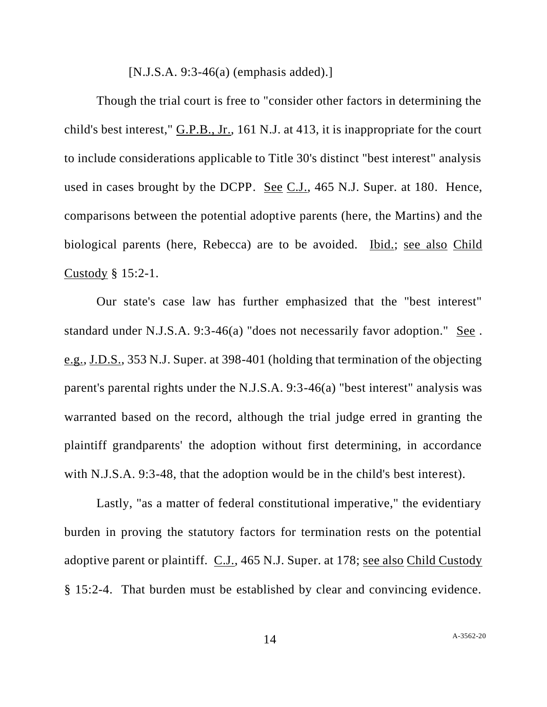[N.J.S.A. 9:3-46(a) (emphasis added).]

Though the trial court is free to "consider other factors in determining the child's best interest," G.P.B., Jr., 161 N.J. at 413, it is inappropriate for the court to include considerations applicable to Title 30's distinct "best interest" analysis used in cases brought by the DCPP. See C.J., 465 N.J. Super. at 180. Hence, comparisons between the potential adoptive parents (here, the Martins) and the biological parents (here, Rebecca) are to be avoided. Ibid.; see also Child Custody § 15:2-1.

Our state's case law has further emphasized that the "best interest" standard under N.J.S.A. 9:3-46(a) "does not necessarily favor adoption." See . e.g., J.D.S., 353 N.J. Super. at 398-401 (holding that termination of the objecting parent's parental rights under the N.J.S.A. 9:3-46(a) "best interest" analysis was warranted based on the record, although the trial judge erred in granting the plaintiff grandparents' the adoption without first determining, in accordance with N.J.S.A. 9:3-48, that the adoption would be in the child's best interest).

Lastly, "as a matter of federal constitutional imperative," the evidentiary burden in proving the statutory factors for termination rests on the potential adoptive parent or plaintiff. C.J., 465 N.J. Super. at 178; see also Child Custody § 15:2-4. That burden must be established by clear and convincing evidence.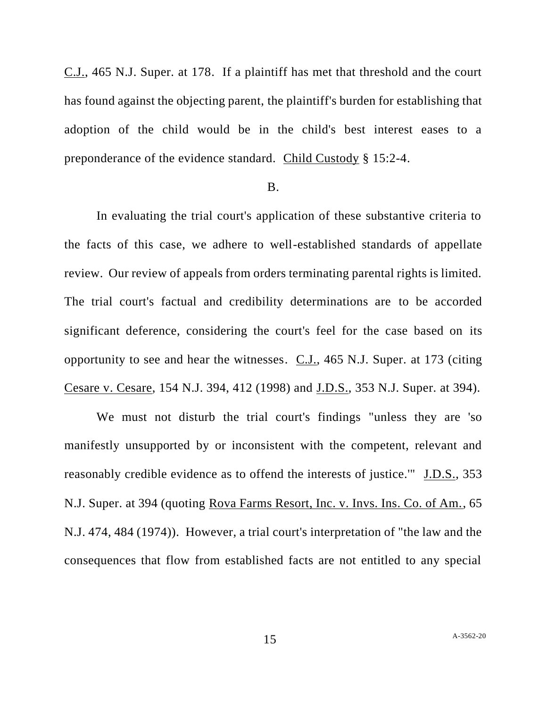C.J., 465 N.J. Super. at 178. If a plaintiff has met that threshold and the court has found against the objecting parent, the plaintiff's burden for establishing that adoption of the child would be in the child's best interest eases to a preponderance of the evidence standard. Child Custody § 15:2-4.

### B.

In evaluating the trial court's application of these substantive criteria to the facts of this case, we adhere to well-established standards of appellate review. Our review of appeals from orders terminating parental rights is limited. The trial court's factual and credibility determinations are to be accorded significant deference, considering the court's feel for the case based on its opportunity to see and hear the witnesses. C.J., 465 N.J. Super. at 173 (citing Cesare v. Cesare, 154 N.J. 394, 412 (1998) and J.D.S., 353 N.J. Super. at 394).

We must not disturb the trial court's findings "unless they are 'so manifestly unsupported by or inconsistent with the competent, relevant and reasonably credible evidence as to offend the interests of justice.'" J.D.S., 353 N.J. Super. at 394 (quoting Rova Farms Resort, Inc. v. Invs. Ins. Co. of Am., 65 N.J. 474, 484 (1974)). However, a trial court's interpretation of "the law and the consequences that flow from established facts are not entitled to any special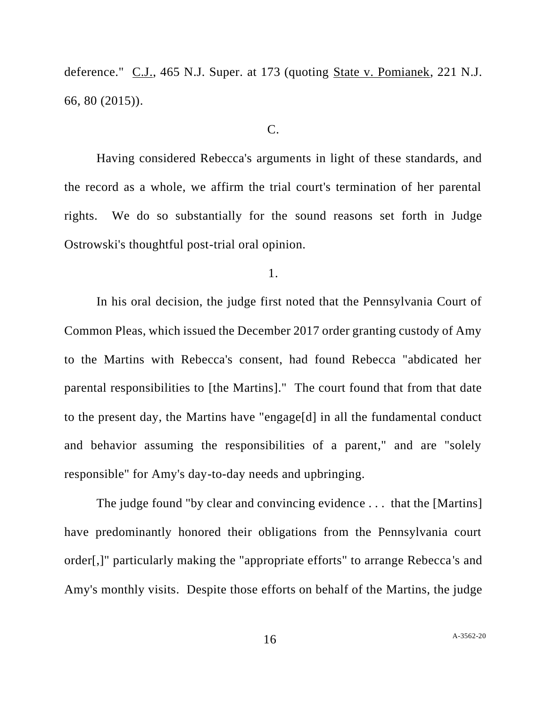deference." C.J., 465 N.J. Super. at 173 (quoting State v. Pomianek, 221 N.J. 66, 80 (2015)).

#### C.

Having considered Rebecca's arguments in light of these standards, and the record as a whole, we affirm the trial court's termination of her parental rights. We do so substantially for the sound reasons set forth in Judge Ostrowski's thoughtful post-trial oral opinion.

1.

In his oral decision, the judge first noted that the Pennsylvania Court of Common Pleas, which issued the December 2017 order granting custody of Amy to the Martins with Rebecca's consent, had found Rebecca "abdicated her parental responsibilities to [the Martins]." The court found that from that date to the present day, the Martins have "engage[d] in all the fundamental conduct and behavior assuming the responsibilities of a parent," and are "solely responsible" for Amy's day-to-day needs and upbringing.

The judge found "by clear and convincing evidence . . . that the [Martins] have predominantly honored their obligations from the Pennsylvania court order[,]" particularly making the "appropriate efforts" to arrange Rebecca's and Amy's monthly visits. Despite those efforts on behalf of the Martins, the judge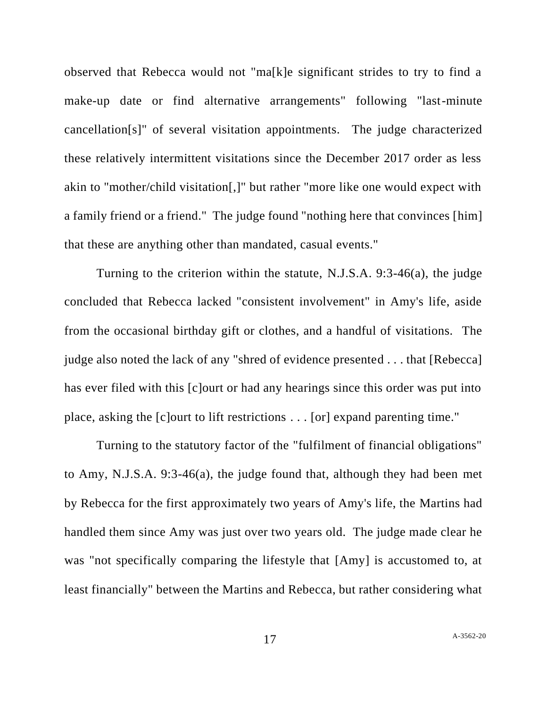observed that Rebecca would not "ma[k]e significant strides to try to find a make-up date or find alternative arrangements" following "last-minute cancellation[s]" of several visitation appointments. The judge characterized these relatively intermittent visitations since the December 2017 order as less akin to "mother/child visitation[,]" but rather "more like one would expect with a family friend or a friend." The judge found "nothing here that convinces [him] that these are anything other than mandated, casual events."

Turning to the criterion within the statute, N.J.S.A. 9:3-46(a), the judge concluded that Rebecca lacked "consistent involvement" in Amy's life, aside from the occasional birthday gift or clothes, and a handful of visitations. The judge also noted the lack of any "shred of evidence presented . . . that [Rebecca] has ever filed with this [c]ourt or had any hearings since this order was put into place, asking the [c]ourt to lift restrictions . . . [or] expand parenting time."

Turning to the statutory factor of the "fulfilment of financial obligations" to Amy, N.J.S.A. 9:3-46(a), the judge found that, although they had been met by Rebecca for the first approximately two years of Amy's life, the Martins had handled them since Amy was just over two years old. The judge made clear he was "not specifically comparing the lifestyle that [Amy] is accustomed to, at least financially" between the Martins and Rebecca, but rather considering what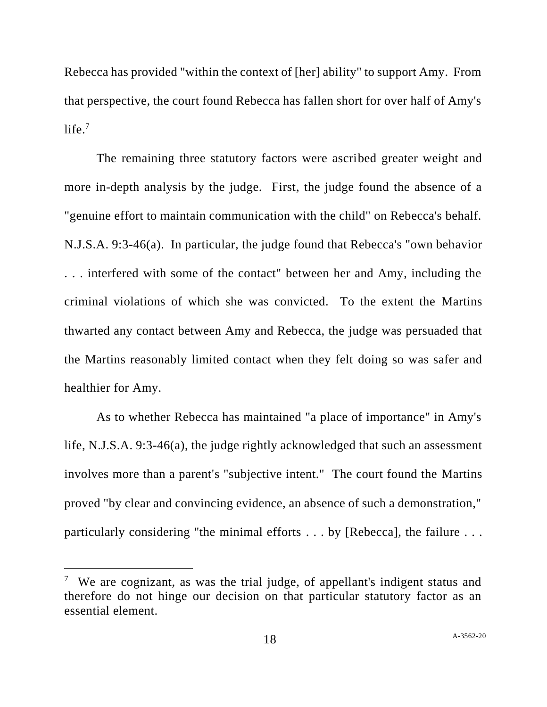Rebecca has provided "within the context of [her] ability" to support Amy. From that perspective, the court found Rebecca has fallen short for over half of Amy's life. $7$ 

The remaining three statutory factors were ascribed greater weight and more in-depth analysis by the judge. First, the judge found the absence of a "genuine effort to maintain communication with the child" on Rebecca's behalf. N.J.S.A. 9:3-46(a). In particular, the judge found that Rebecca's "own behavior . . . interfered with some of the contact" between her and Amy, including the criminal violations of which she was convicted. To the extent the Martins thwarted any contact between Amy and Rebecca, the judge was persuaded that the Martins reasonably limited contact when they felt doing so was safer and healthier for Amy.

As to whether Rebecca has maintained "a place of importance" in Amy's life, N.J.S.A. 9:3-46(a), the judge rightly acknowledged that such an assessment involves more than a parent's "subjective intent." The court found the Martins proved "by clear and convincing evidence, an absence of such a demonstration," particularly considering "the minimal efforts . . . by [Rebecca], the failure . . .

<sup>&</sup>lt;sup>7</sup> We are cognizant, as was the trial judge, of appellant's indigent status and therefore do not hinge our decision on that particular statutory factor as an essential element.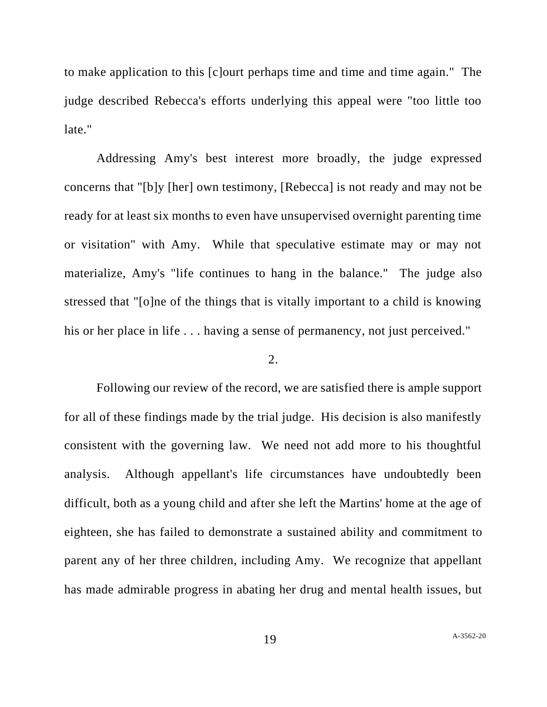to make application to this [c]ourt perhaps time and time and time again." The judge described Rebecca's efforts underlying this appeal were "too little too late."

Addressing Amy's best interest more broadly, the judge expressed concerns that "[b]y [her] own testimony, [Rebecca] is not ready and may not be ready for at least six months to even have unsupervised overnight parenting time or visitation" with Amy. While that speculative estimate may or may not materialize, Amy's "life continues to hang in the balance." The judge also stressed that "[o]ne of the things that is vitally important to a child is knowing his or her place in life . . . having a sense of permanency, not just perceived."

### 2.

Following our review of the record, we are satisfied there is ample support for all of these findings made by the trial judge. His decision is also manifestly consistent with the governing law. We need not add more to his thoughtful analysis. Although appellant's life circumstances have undoubtedly been difficult, both as a young child and after she left the Martins' home at the age of eighteen, she has failed to demonstrate a sustained ability and commitment to parent any of her three children, including Amy. We recognize that appellant has made admirable progress in abating her drug and mental health issues, but